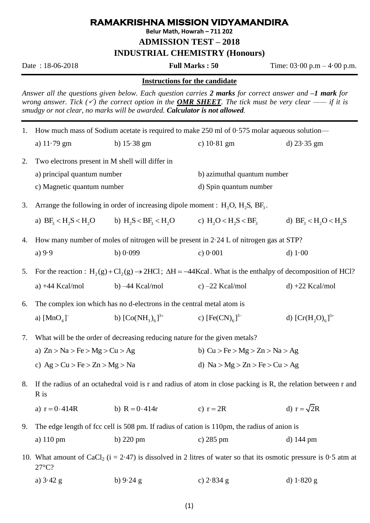## **RAMAKRISHNA MISSION VIDYAMANDIRA**

**Belur Math, Howrah – 711 202**

**ADMISSION TEST – 2018**

**INDUSTRIAL CHEMISTRY (Honours)**

Date : 18-06-2018 **Full Marks : 50** Time: 03·00 p.m – 4·00 p.m.

## **Instructions for the candidate**

*Answer all the questions given below. Each question carries 2 marks for correct answer and –1 mark for wrong answer. Tick*  $(\check{\phantom{x}})$  *the correct option in the OMR SHEET. The tick must be very clear —— if it is smudgy or not clear, no marks will be awarded. Calculator is not allowed.* 

| 1. | How much mass of Sodium acetate is required to make 250 ml of $0.575$ molar aqueous solution—                                                       |                        |                                                                         |                    |  |  |
|----|-----------------------------------------------------------------------------------------------------------------------------------------------------|------------------------|-------------------------------------------------------------------------|--------------------|--|--|
|    | a) $11.79$ gm                                                                                                                                       | b) $15.38 \text{ gm}$  | c) $10.81$ gm                                                           | d) $23.35$ gm      |  |  |
| 2. | Two electrons present in M shell will differ in                                                                                                     |                        |                                                                         |                    |  |  |
|    | a) principal quantum number                                                                                                                         |                        | b) azimuthal quantum number                                             |                    |  |  |
|    | c) Magnetic quantum number                                                                                                                          |                        | d) Spin quantum number                                                  |                    |  |  |
| 3. | Arrange the following in order of increasing dipole moment : $H_2O$ , $H_2S$ , $BF_3$ .                                                             |                        |                                                                         |                    |  |  |
|    | a) $BF_3 < H_2S < H_2O$                                                                                                                             |                        | b) $H_2S < BF_3 < H_2O$ c) $H_2O < H_2S < BF_3$ d) $BF_3 < H_2O < H_2S$ |                    |  |  |
| 4. | How many number of moles of nitrogen will be present in 2.24 L of nitrogen gas at STP?                                                              |                        |                                                                         |                    |  |  |
|    | a) $9.9$                                                                                                                                            | b) $0.099$             | c) $0.001$                                                              | d) $1.00$          |  |  |
| 5. | For the reaction : $H_2(g) + Cl_2(g) \rightarrow 2HCl$ ; $\Delta H = -44Kcal$ . What is the enthalpy of decomposition of HCl?                       |                        |                                                                         |                    |  |  |
|    | a) $+44$ Kcal/mol                                                                                                                                   | b) $-44$ Kcal/mol      | c) $-22$ Kcal/mol                                                       | $d) +22$ Kcal/mol  |  |  |
| 6. | The complex ion which has no d-electrons in the central metal atom is                                                                               |                        |                                                                         |                    |  |  |
|    | a) $[MnO4$ <sup>-</sup>                                                                                                                             | b) $[Co(NH_3)_6]^{3+}$ | c) $[Fe(CN)6$ <sup>3-</sup>                                             | d) $[Cr(H2O)6]3+$  |  |  |
| 7. | What will be the order of decreasing reducing nature for the given metals?                                                                          |                        |                                                                         |                    |  |  |
|    | a) $Zn > Na > Fe > Mg > Cu > Ag$                                                                                                                    |                        | b) $Cu > Fe > Mg > Zn > Na > Ag$                                        |                    |  |  |
|    | c) $Ag > Cu > Fe > Zn > Mg > Na$                                                                                                                    |                        | d) $Na > Mg > Zn > Fe > Cu > Ag$                                        |                    |  |  |
| 8. | If the radius of an octahedral void is r and radius of atom in close packing is R, the relation between r and<br>R is                               |                        |                                                                         |                    |  |  |
|    | a) $r = 0.414R$                                                                                                                                     | b) $R = 0.414r$        | c) $r = 2R$                                                             | d) $r = \sqrt{2}R$ |  |  |
| 9. | The edge length of fcc cell is 508 pm. If radius of cation is 110pm, the radius of anion is                                                         |                        |                                                                         |                    |  |  |
|    | a) 110 pm                                                                                                                                           | b) $220 \text{ pm}$    | c) $285 \text{ pm}$                                                     | d) 144 pm          |  |  |
|    | 10. What amount of CaCl <sub>2</sub> ( $i = 2.47$ ) is dissolved in 2 litres of water so that its osmotic pressure is 0.5 atm at<br>$27^{\circ}$ C? |                        |                                                                         |                    |  |  |
|    | a) $3.42 g$                                                                                                                                         | b) $9.24$ g            | c) $2.834$ g                                                            | d) $1.820$ g       |  |  |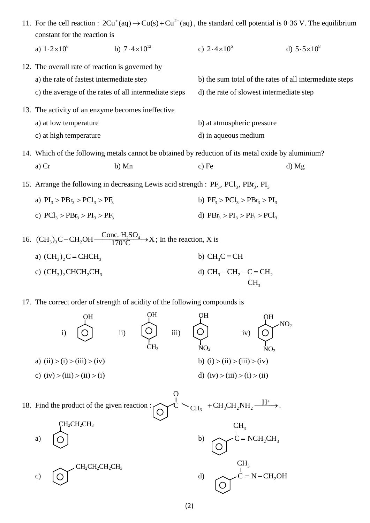| 11. For the cell reaction : $2Cu^{+}(aq) \rightarrow Cu(s) + Cu^{2+}(aq)$ , the standard cell potential is 0.36 V. The equilibrium<br>constant for the reaction is |                                                                              |                                                         |                      |  |  |  |
|--------------------------------------------------------------------------------------------------------------------------------------------------------------------|------------------------------------------------------------------------------|---------------------------------------------------------|----------------------|--|--|--|
| a) $1.2 \times 10^6$                                                                                                                                               | b) $7.4 \times 10^{12}$                                                      | c) $2.4 \times 10^6$                                    | d) $5.5 \times 10^8$ |  |  |  |
|                                                                                                                                                                    | 12. The overall rate of reaction is governed by                              |                                                         |                      |  |  |  |
| a) the rate of fastest intermediate step                                                                                                                           |                                                                              | b) the sum total of the rates of all intermediate steps |                      |  |  |  |
| c) the average of the rates of all intermediate steps                                                                                                              |                                                                              | d) the rate of slowest intermediate step                |                      |  |  |  |
|                                                                                                                                                                    | 13. The activity of an enzyme becomes ineffective                            |                                                         |                      |  |  |  |
| a) at low temperature                                                                                                                                              |                                                                              | b) at atmospheric pressure                              |                      |  |  |  |
| c) at high temperature                                                                                                                                             |                                                                              |                                                         | d) in aqueous medium |  |  |  |
| 14. Which of the following metals cannot be obtained by reduction of its metal oxide by aluminium?                                                                 |                                                                              |                                                         |                      |  |  |  |
| $a)$ Cr                                                                                                                                                            | b) Mn                                                                        | $c)$ Fe                                                 | d) Mg                |  |  |  |
| 15. Arrange the following in decreasing Lewis acid strength : $PF_3$ , $PCl_3$ , $PBr_3$ , $PI_3$                                                                  |                                                                              |                                                         |                      |  |  |  |
| a) $PI_3 > PBr_3 > PCl_3 > PF_3$                                                                                                                                   |                                                                              | b) $PF_3 > PCl_3 > PBr_3 > PI_3$                        |                      |  |  |  |
| c) $\text{PCl}_3 > \text{PBr}_3 > \text{PI}_3 > \text{PF}_3$                                                                                                       |                                                                              | d) $PBr_3 > PI_3 > PF_3 > PCl_3$                        |                      |  |  |  |
|                                                                                                                                                                    | 16. $(CH_3)_3C-CH_2OH \xrightarrow{Cone. H_2SO_4} X$ ; In the reaction, X is |                                                         |                      |  |  |  |

a) 
$$
(CH_3)_2C = CHCH_3
$$
  
b)  $CH_3C = CH$   
c)  $(CH_3)_2CHCH_2CH_3$   
d)  $CH_3-CH_2-C = CH_2$   
 $CH_3$ 

17. The correct order of strength of acidity of the following compounds is